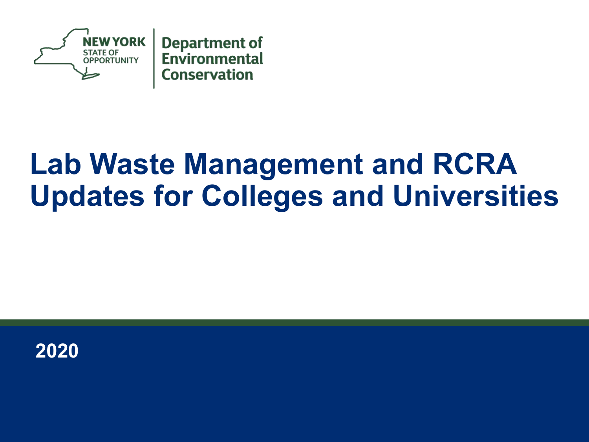

# **Lab Waste Management and RCRA Updates for Colleges and Universities**

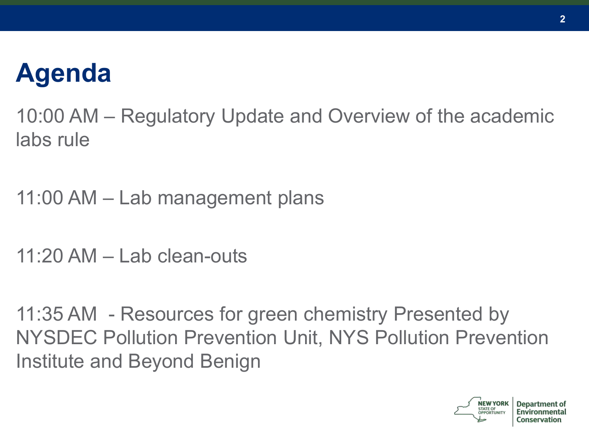## **Agenda**

10:00 AM – Regulatory Update and Overview of the academic labs rule

11:00 AM – Lab management plans

11:20 AM  $-$  Lab clean-outs

11:35 AM - Resources for green chemistry Presented by NYSDEC Pollution Prevention Unit, NYS Pollution Prevention Institute and Beyond Benign

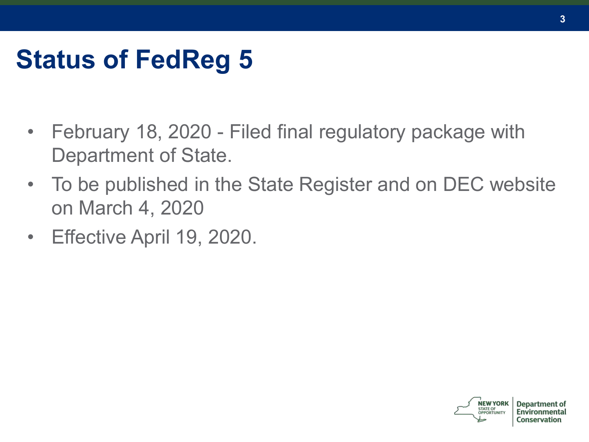# **Status of FedReg 5**

- February 18, 2020 Filed final regulatory package with Department of State.
- To be published in the State Register and on DEC website on March 4, 2020
- Effective April 19, 2020.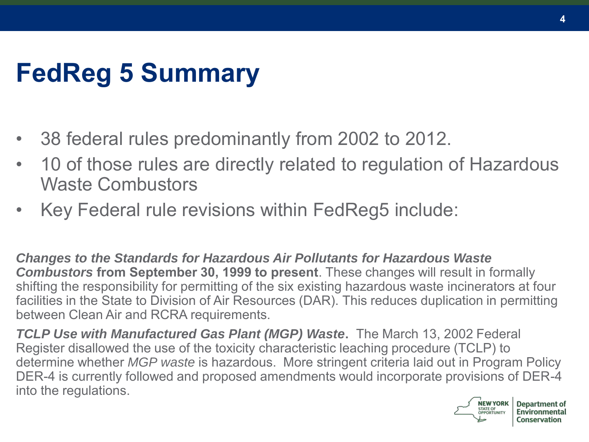# **FedReg 5 Summary**

- 38 federal rules predominantly from 2002 to 2012.
- 10 of those rules are directly related to regulation of Hazardous Waste Combustors
- Key Federal rule revisions within FedReg5 include:

*Changes to the Standards for Hazardous Air Pollutants for Hazardous Waste Combustors* **from September 30, 1999 to present**. These changes will result in formally shifting the responsibility for permitting of the six existing hazardous waste incinerators at four facilities in the State to Division of Air Resources (DAR). This reduces duplication in permitting between Clean Air and RCRA requirements.

*TCLP Use with Manufactured Gas Plant (MGP) Waste***.** The March 13, 2002 Federal Register disallowed the use of the toxicity characteristic leaching procedure (TCLP) to determine whether *MGP waste* is hazardous. More stringent criteria laid out in Program Policy DER-4 is currently followed and proposed amendments would incorporate provisions of DER-4 into the regulations.

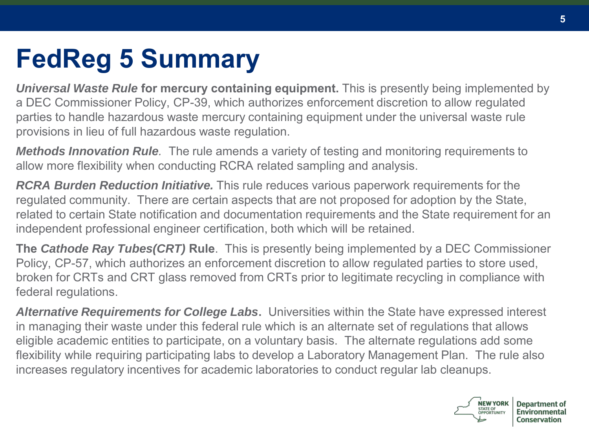# **FedReg 5 Summary**

*Universal Waste Rule* **for mercury containing equipment.** This is presently being implemented by a DEC Commissioner Policy, CP-39, which authorizes enforcement discretion to allow regulated parties to handle hazardous waste mercury containing equipment under the universal waste rule provisions in lieu of full hazardous waste regulation.

*Methods Innovation Rule.* The rule amends a variety of testing and monitoring requirements to allow more flexibility when conducting RCRA related sampling and analysis.

*RCRA Burden Reduction Initiative.* This rule reduces various paperwork requirements for the regulated community. There are certain aspects that are not proposed for adoption by the State, related to certain State notification and documentation requirements and the State requirement for an independent professional engineer certification, both which will be retained.

**The** *Cathode Ray Tubes(CRT)* **Rule**. This is presently being implemented by a DEC Commissioner Policy, CP-57, which authorizes an enforcement discretion to allow regulated parties to store used, broken for CRTs and CRT glass removed from CRTs prior to legitimate recycling in compliance with federal regulations.

*Alternative Requirements for College Labs***.** Universities within the State have expressed interest in managing their waste under this federal rule which is an alternate set of regulations that allows eligible academic entities to participate, on a voluntary basis. The alternate regulations add some flexibility while requiring participating labs to develop a Laboratory Management Plan. The rule also increases regulatory incentives for academic laboratories to conduct regular lab cleanups.

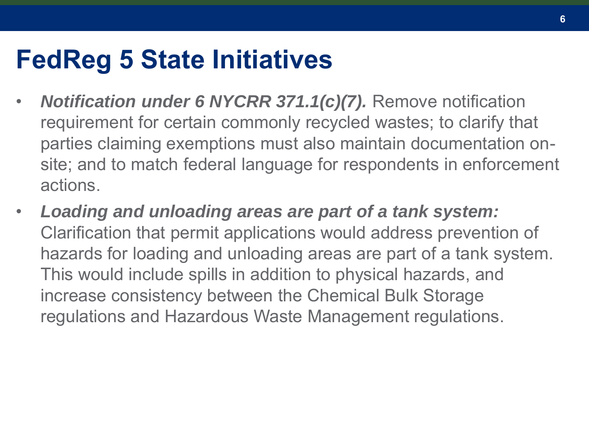#### **FedReg 5 State Initiatives**

- *Notification under 6 NYCRR 371.1(c)(7).* Remove notification requirement for certain commonly recycled wastes; to clarify that parties claiming exemptions must also maintain documentation onsite; and to match federal language for respondents in enforcement actions.
- *Loading and unloading areas are part of a tank system:* Clarification that permit applications would address prevention of hazards for loading and unloading areas are part of a tank system. This would include spills in addition to physical hazards, and increase consistency between the Chemical Bulk Storage regulations and Hazardous Waste Management regulations.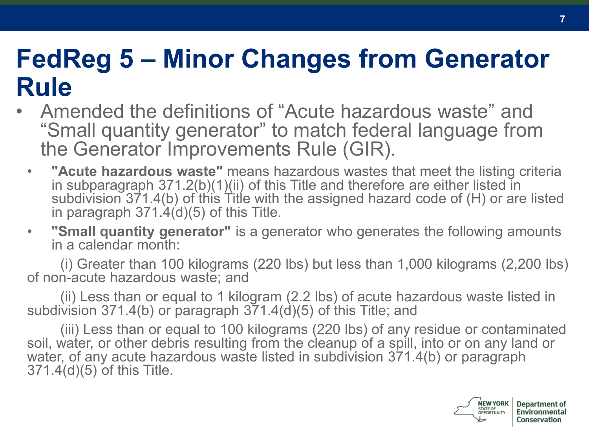#### **FedReg 5 – Minor Changes from Generator Rule**

- Amended the definitions of "Acute hazardous waste" and "Small quantity generator" to match federal language from the Generator Improvements Rule (GIR).
	- **"Acute hazardous waste"** means hazardous wastes that meet the listing criteria in subparagraph 371.2(b)(1)(ii) of this Title and therefore are either listed in subdivision 371.4(b) of this Title with the assigned hazard code of (H) or are listed in paragraph  $371.\dot{4}$ (d)(5) of this Title.
	- **"Small quantity generator"** is a generator who generates the following amounts in a calendar month:

(i) Greater than 100 kilograms (220 lbs) but less than 1,000 kilograms (2,200 lbs) of non-acute hazardous waste; and

(ii) Less than or equal to 1 kilogram (2.2 lbs) of acute hazardous waste listed in subdivision 371.4(b) or paragraph 371.4(d)(5) of this Title; and

(iii) Less than or equal to 100 kilograms (220 lbs) of any residue or contaminated soil, water, or other debris resulting from the cleanup of a spill, into or on any land or water, of any acute hazardous waste listed in subdivision 371.4(b) or paragraph 371.4(d)(5) of this Title.

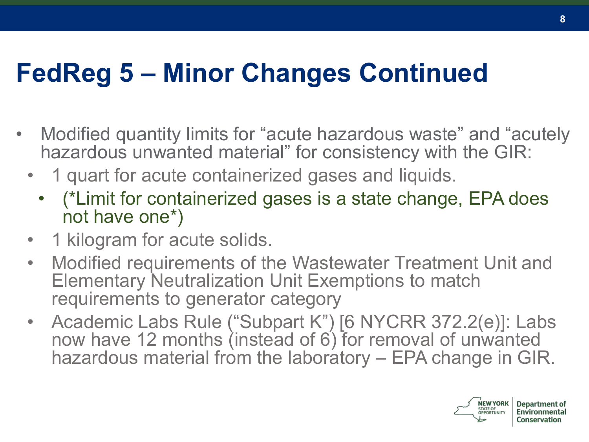### **FedReg 5 – Minor Changes Continued**

- Modified quantity limits for "acute hazardous waste" and "acutely hazardous unwanted material" for consistency with the GIR:
	- 1 quart for acute containerized gases and liquids.
		- (\*Limit for containerized gases is a state change, EPA does not have one\*)
	- 1 kilogram for acute solids.
	- Modified requirements of the Wastewater Treatment Unit and Elementary Neutralization Unit Exemptions to match requirements to generator category
	- Academic Labs Rule ("Subpart K") [6 NYCRR 372.2(e)]: Labs now have 12 months (instead of 6) for removal of unwanted hazardous material from the laboratory – EPA change in GIR.

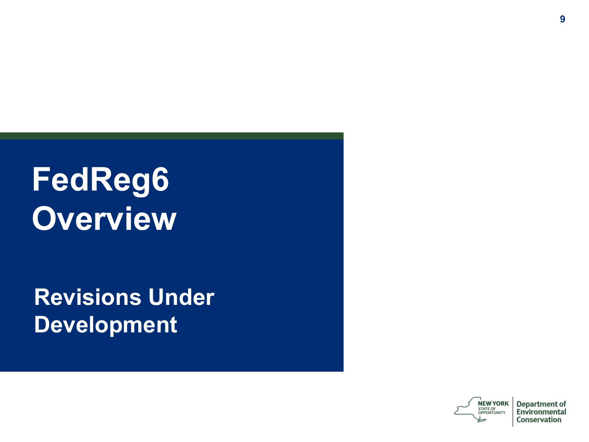# **FedReg6 Overview**

**Revisions Under Development**

> **NEW YORK** STATE OF OPPORTUNITY

**Department of** Environmental Conservation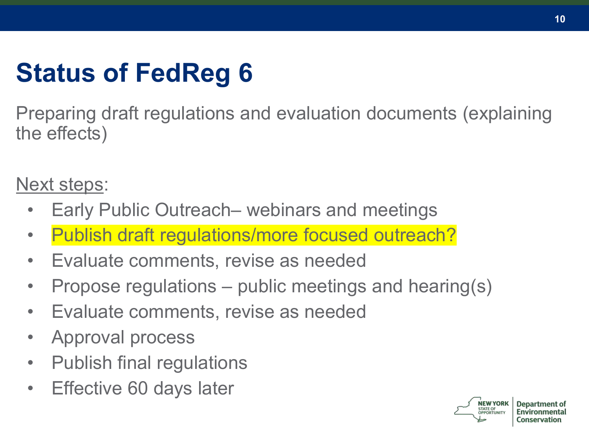# **Status of FedReg 6**

Preparing draft regulations and evaluation documents (explaining the effects)

Next steps:

- Early Public Outreach– webinars and meetings
- Publish draft regulations/more focused outreach?
- Evaluate comments, revise as needed
- Propose regulations public meetings and hearing(s)
- Evaluate comments, revise as needed
- Approval process
- Publish final regulations
- Effective 60 days later



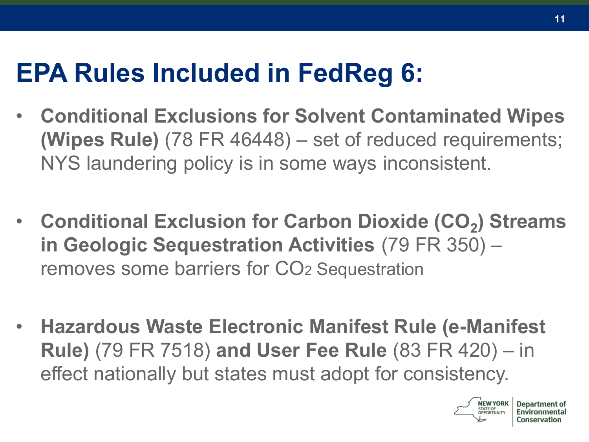## **EPA Rules Included in FedReg 6:**

- **Conditional Exclusions for Solvent Contaminated Wipes (Wipes Rule)** (78 FR 46448) – set of reduced requirements; NYS laundering policy is in some ways inconsistent.
- **Conditional Exclusion for Carbon Dioxide (CO<sup>2</sup> ) Streams in Geologic Sequestration Activities** (79 FR 350) – removes some barriers for CO<sup>2</sup> Sequestration
- **Hazardous Waste Electronic Manifest Rule (e-Manifest Rule)** (79 FR 7518) **and User Fee Rule** (83 FR 420) – in effect nationally but states must adopt for consistency.



Denart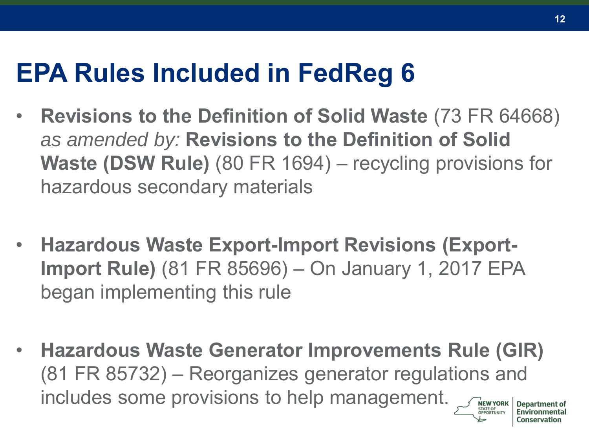### **EPA Rules Included in FedReg 6**

- **Revisions to the Definition of Solid Waste** (73 FR 64668) *as amended by:* **Revisions to the Definition of Solid Waste (DSW Rule)** (80 FR 1694) – recycling provisions for hazardous secondary materials
- **Hazardous Waste Export-Import Revisions (Export-Import Rule)** (81 FR 85696) – On January 1, 2017 EPA began implementing this rule
- **Hazardous Waste Generator Improvements Rule (GIR)** (81 FR 85732) – Reorganizes generator regulations and includes some provisions to help management.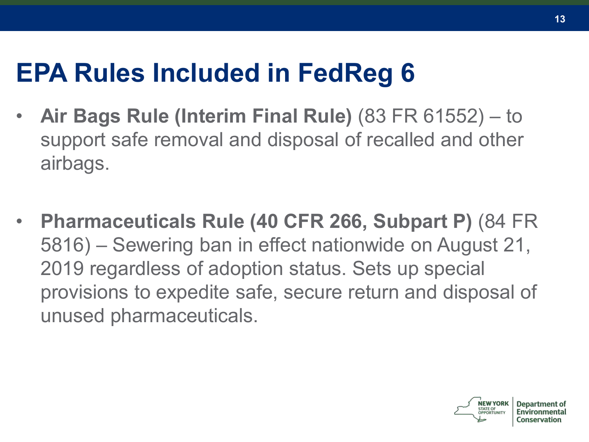## **EPA Rules Included in FedReg 6**

- **Air Bags Rule (Interim Final Rule)** (83 FR 61552) to support safe removal and disposal of recalled and other airbags.
- **Pharmaceuticals Rule (40 CFR 266, Subpart P)** (84 FR 5816) – Sewering ban in effect nationwide on August 21, 2019 regardless of adoption status. Sets up special provisions to expedite safe, secure return and disposal of unused pharmaceuticals.

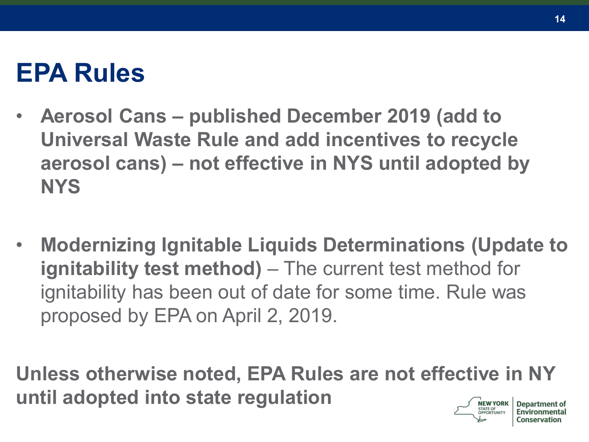### **EPA Rules**

- **Aerosol Cans – published December 2019 (add to Universal Waste Rule and add incentives to recycle aerosol cans) – not effective in NYS until adopted by NYS**
- **Modernizing Ignitable Liquids Determinations (Update to ignitability test method)** – The current test method for ignitability has been out of date for some time. Rule was proposed by EPA on April 2, 2019.

**Unless otherwise noted, EPA Rules are not effective in NY until adopted into state regulationNEW YORK** 

**Department of**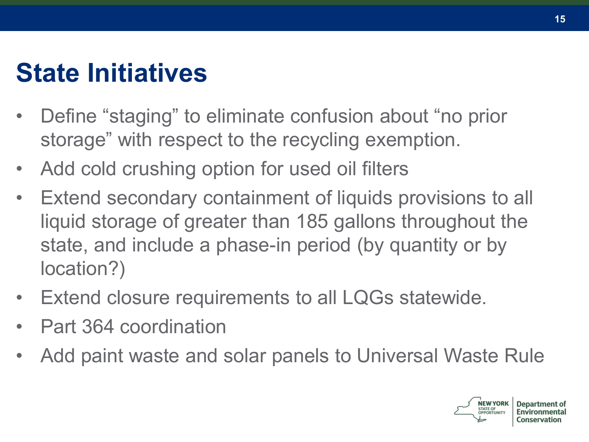### **State Initiatives**

- Define "staging" to eliminate confusion about "no prior storage" with respect to the recycling exemption.
- Add cold crushing option for used oil filters
- Extend secondary containment of liquids provisions to all liquid storage of greater than 185 gallons throughout the state, and include a phase-in period (by quantity or by location?)
- Extend closure requirements to all LQGs statewide.
- Part 364 coordination
- Add paint waste and solar panels to Universal Waste Rule

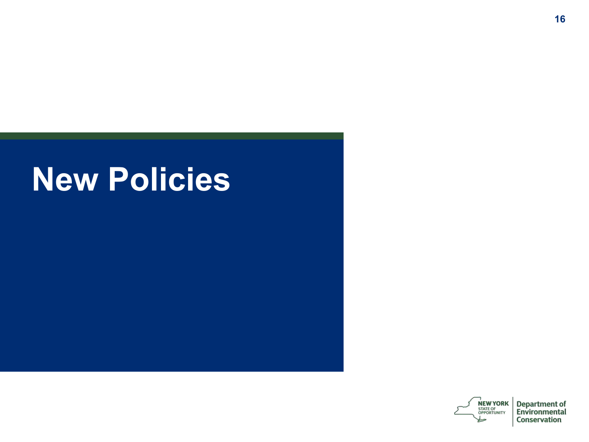# **New Policies**

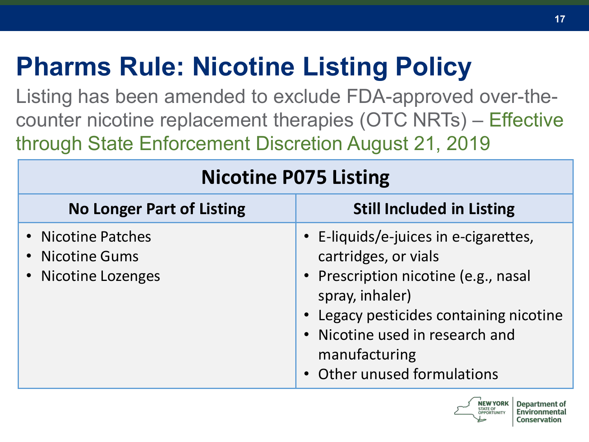# **Pharms Rule: Nicotine Listing Policy**

Listing has been amended to exclude FDA-approved over-thecounter nicotine replacement therapies (OTC NRTs) – Effective through State Enforcement Discretion August 21, 2019

| <b>Nicotine P075 Listing</b>                                 |                                                                                                                                                                                                                                                      |  |
|--------------------------------------------------------------|------------------------------------------------------------------------------------------------------------------------------------------------------------------------------------------------------------------------------------------------------|--|
| <b>No Longer Part of Listing</b>                             | <b>Still Included in Listing</b>                                                                                                                                                                                                                     |  |
| • Nicotine Patches<br>• Nicotine Gums<br>• Nicotine Lozenges | • E-liquids/e-juices in e-cigarettes,<br>cartridges, or vials<br>• Prescription nicotine (e.g., nasal<br>spray, inhaler)<br>• Legacy pesticides containing nicotine<br>• Nicotine used in research and<br>manufacturing<br>Other unused formulations |  |

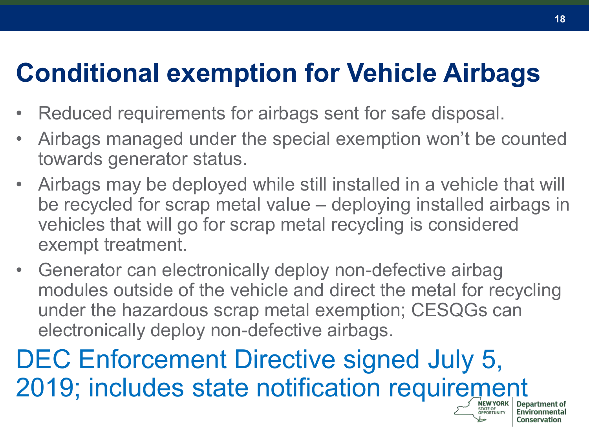## **Conditional exemption for Vehicle Airbags**

- Reduced requirements for airbags sent for safe disposal.
- Airbags managed under the special exemption won't be counted towards generator status.
- Airbags may be deployed while still installed in a vehicle that will be recycled for scrap metal value – deploying installed airbags in vehicles that will go for scrap metal recycling is considered exempt treatment.
- Generator can electronically deploy non-defective airbag modules outside of the vehicle and direct the metal for recycling under the hazardous scrap metal exemption; CESQGs can electronically deploy non-defective airbags.

DEC Enforcement Directive signed July 5, 2019; includes state notification requirement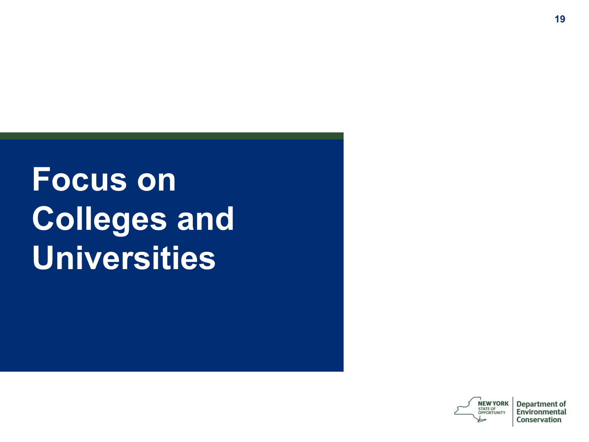# **Focus on Colleges and Universities**

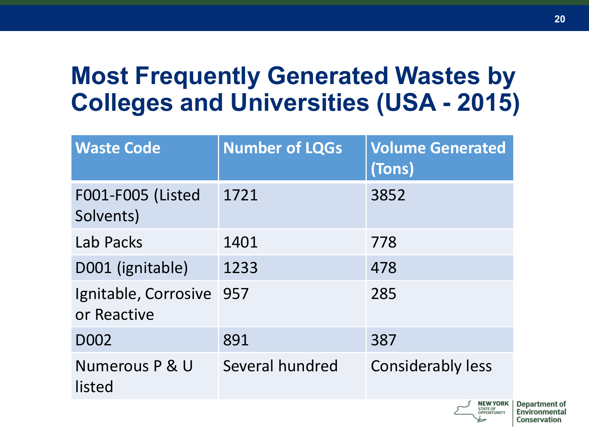#### **Most Frequently Generated Wastes by Colleges and Universities (USA - 2015)**

| <b>Waste Code</b>                   | <b>Number of LQGs</b> | <b>Volume Generated</b><br>(Tons) |
|-------------------------------------|-----------------------|-----------------------------------|
| F001-F005 (Listed<br>Solvents)      | 1721                  | 3852                              |
| Lab Packs                           | 1401                  | 778                               |
| D001 (ignitable)                    | 1233                  | 478                               |
| Ignitable, Corrosive<br>or Reactive | 957                   | 285                               |
| D <sub>0</sub> 02                   | 891                   | 387                               |
| Numerous P & U<br>listed            | Several hundred       | <b>Considerably less</b>          |
|                                     |                       | <b>EXAMPLE IN NORTH</b>           |

**20**

**Department of** 

Environmental

Conservation

**STATE OF** 

OPPORTUNITY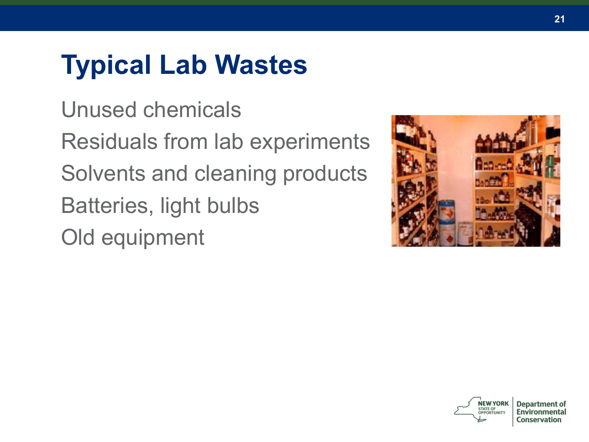# **Typical Lab Wastes**

Unused chemicals Residuals from lab experiments Solvents and cleaning products Batteries, light bulbs Old equipment



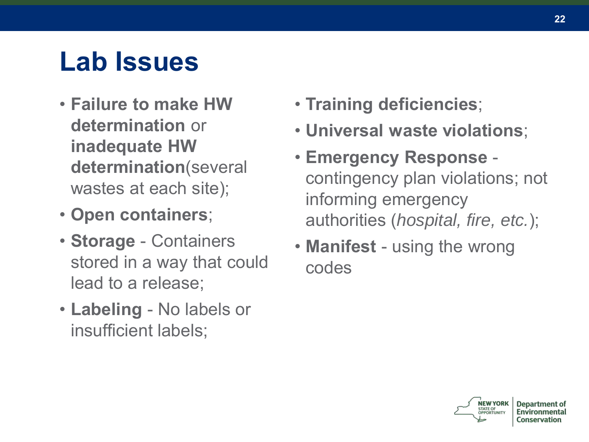# **Lab Issues**

- **Failure to make HW determination** or **inadequate HW determination**(several wastes at each site);
- **Open containers**;
- **Storage** Containers stored in a way that could lead to a release;
- **Labeling** No labels or insufficient labels;
- **Training deficiencies**;
- **Universal waste violations**;
- **Emergency Response**  contingency plan violations; not informing emergency authorities (*hospital, fire, etc.*);
- **Manifest** using the wrong codes

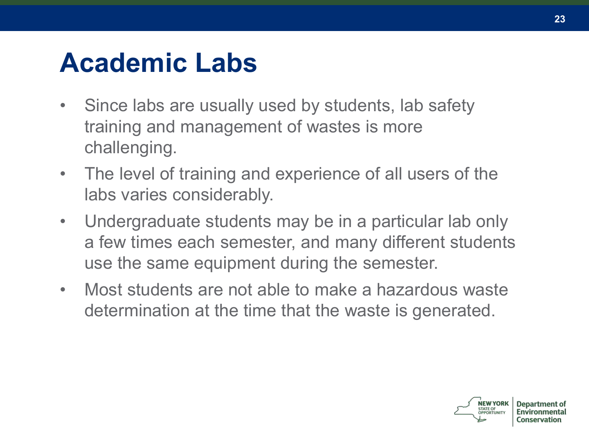# **Academic Labs**

- Since labs are usually used by students, lab safety training and management of wastes is more challenging.
- The level of training and experience of all users of the labs varies considerably.
- Undergraduate students may be in a particular lab only a few times each semester, and many different students use the same equipment during the semester.
- Most students are not able to make a hazardous waste determination at the time that the waste is generated.

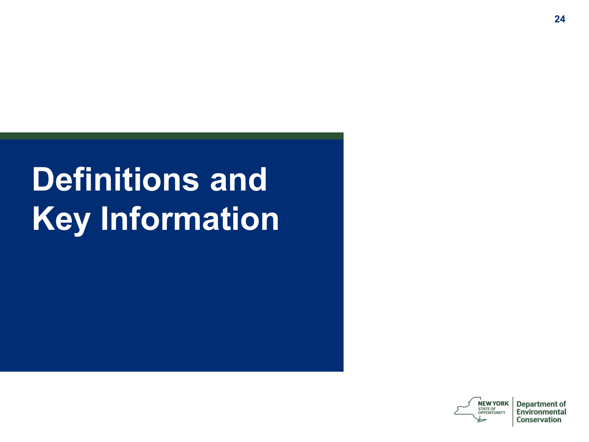# **Definitions and Key Information**

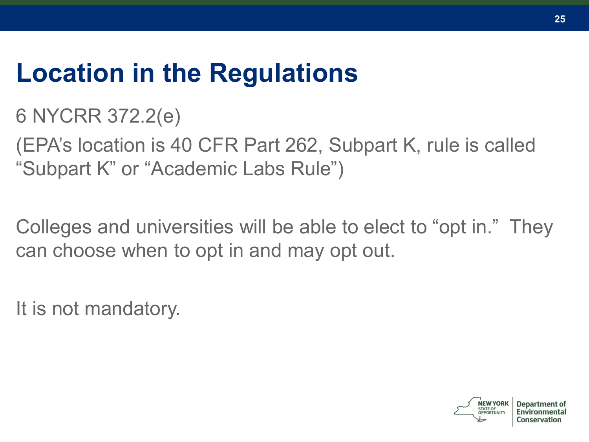#### **Location in the Regulations**

6 NYCRR 372.2(e)

(EPA's location is 40 CFR Part 262, Subpart K, rule is called "Subpart K" or "Academic Labs Rule")

Colleges and universities will be able to elect to "opt in." They can choose when to opt in and may opt out.

It is not mandatory.

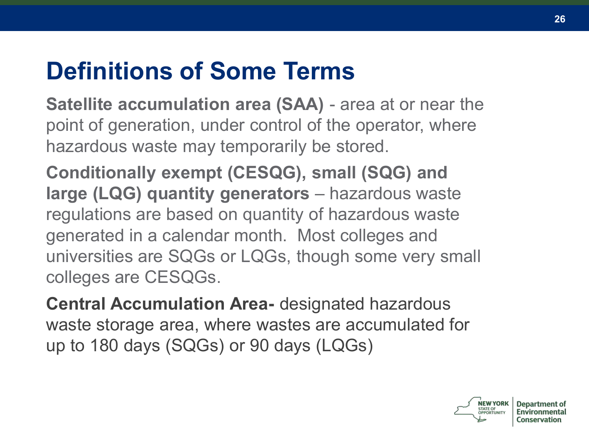#### **Definitions of Some Terms**

**Satellite accumulation area (SAA)** - area at or near the point of generation, under control of the operator, where hazardous waste may temporarily be stored.

**Conditionally exempt (CESQG), small (SQG) and large (LQG) quantity generators** – hazardous waste regulations are based on quantity of hazardous waste generated in a calendar month. Most colleges and universities are SQGs or LQGs, though some very small colleges are CESQGs.

**Central Accumulation Area-** designated hazardous waste storage area, where wastes are accumulated for up to 180 days (SQGs) or 90 days (LQGs)

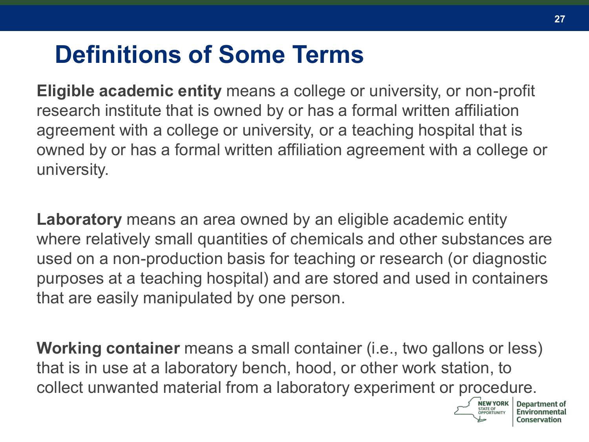#### **Definitions of Some Terms**

**Eligible academic entity** means a college or university, or non-profit research institute that is owned by or has a formal written affiliation agreement with a college or university, or a teaching hospital that is owned by or has a formal written affiliation agreement with a college or university.

**Laboratory** means an area owned by an eligible academic entity where relatively small quantities of chemicals and other substances are used on a non-production basis for teaching or research (or diagnostic purposes at a teaching hospital) and are stored and used in containers that are easily manipulated by one person.

**Working container** means a small container (i.e., two gallons or less) that is in use at a laboratory bench, hood, or other work station, to collect unwanted material from a laboratory experiment or procedure.

**STATE OF**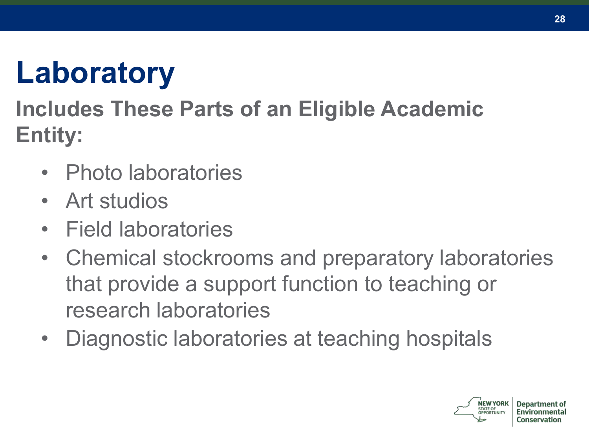# **Laboratory**

#### **Includes These Parts of an Eligible Academic Entity:**

- Photo laboratories
- Art studios
- Field laboratories
- Chemical stockrooms and preparatory laboratories that provide a support function to teaching or research laboratories
- Diagnostic laboratories at teaching hospitals

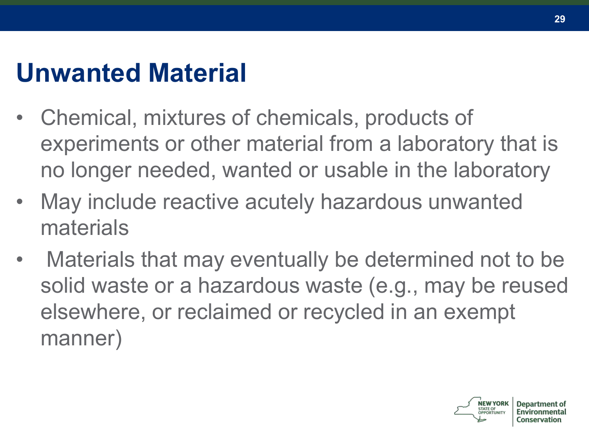### **Unwanted Material**

- Chemical, mixtures of chemicals, products of experiments or other material from a laboratory that is no longer needed, wanted or usable in the laboratory
- May include reactive acutely hazardous unwanted materials
- Materials that may eventually be determined not to be solid waste or a hazardous waste (e.g., may be reused elsewhere, or reclaimed or recycled in an exempt manner)

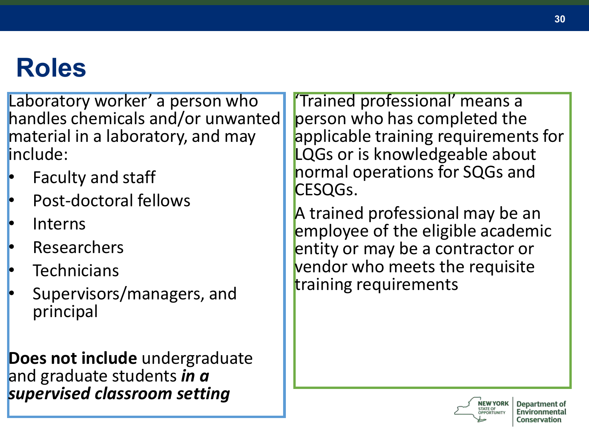## **Roles**

Laboratory worker' a person who handles chemicals and/or unwanted material in a laboratory, and may include:

- Faculty and staff
- Post-doctoral fellows
- Interns
- **Researchers**
- **Technicians**
- Supervisors/managers, and principal

**Does not include** undergraduate and graduate students *in a supervised classroom setting*

'Trained professional' means a person who has completed the applicable training requirements for LQGs or is knowledgeable about normal operations for SQGs and CESQGs.

A trained professional may be an employee of the eligible academic entity or may be a contractor or vendor who meets the requisite training requirements

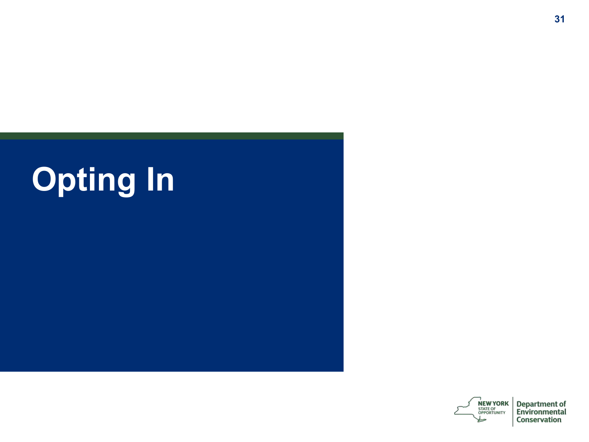

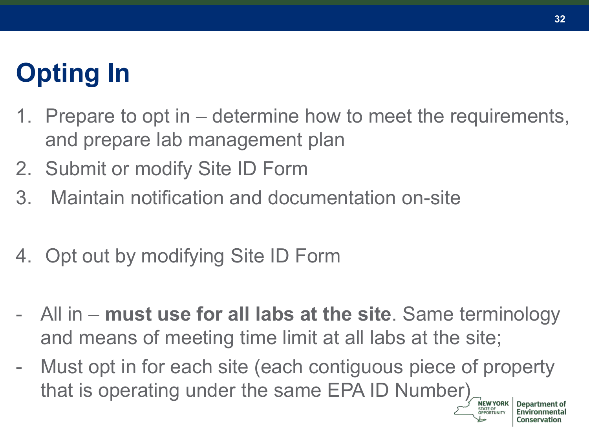# **Opting In**

- 1. Prepare to opt in determine how to meet the requirements, and prepare lab management plan
- 2. Submit or modify Site ID Form
- 3. Maintain notification and documentation on-site
- 4. Opt out by modifying Site ID Form
- All in **must use for all labs at the site**. Same terminology and means of meeting time limit at all labs at the site;
- Must opt in for each site (each contiguous piece of property that is operating under the same EPA ID Number)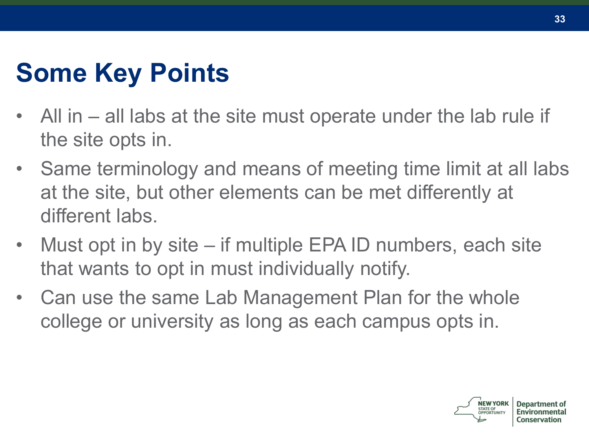# **Some Key Points**

- All in all labs at the site must operate under the lab rule if the site opts in.
- Same terminology and means of meeting time limit at all labs at the site, but other elements can be met differently at different labs.
- Must opt in by site  $-$  if multiple EPA ID numbers, each site that wants to opt in must individually notify.
- Can use the same Lab Management Plan for the whole college or university as long as each campus opts in.

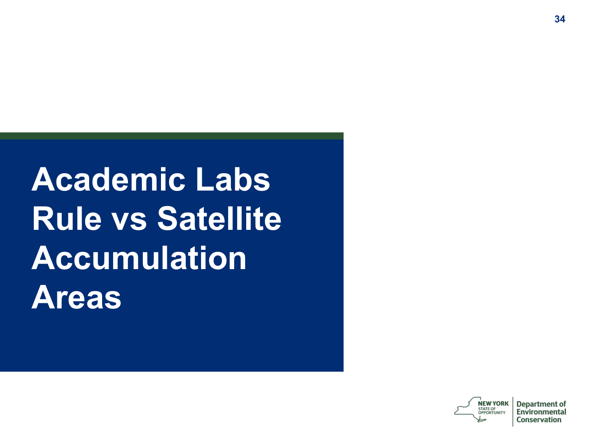**Academic Labs Rule vs Satellite Accumulation Areas**

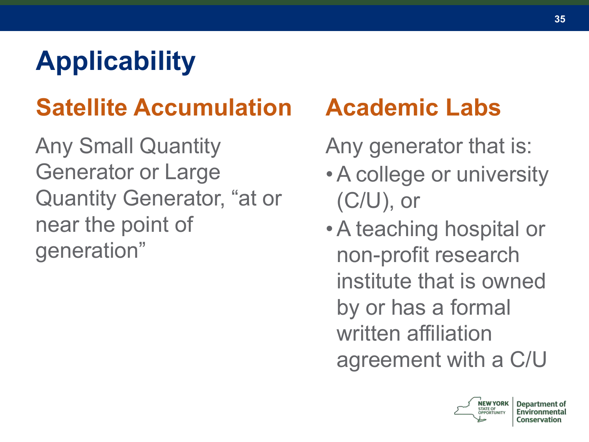# **Applicability**

# **Satellite Accumulation**

Any Small Quantity Generator or Large Quantity Generator, "at or near the point of generation"

#### **Academic Labs**

Any generator that is:

- •A college or university (C/U), or
- •A teaching hospital or non-profit research institute that is owned by or has a formal written affiliation agreement with a C/U

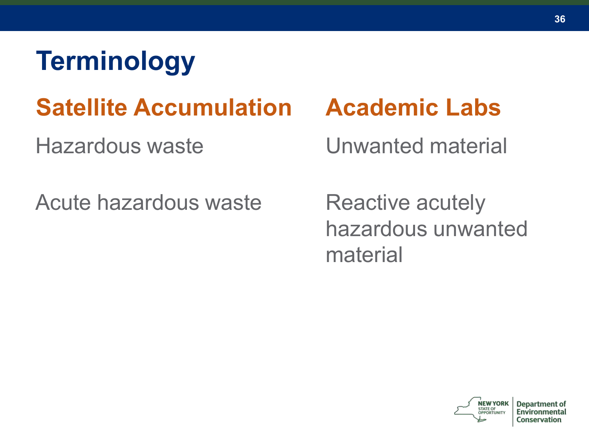# **Terminology**

### **Satellite Accumulation**

Hazardous waste

Acute hazardous waste

#### **Academic Labs**

Unwanted material

Reactive acutely hazardous unwanted material

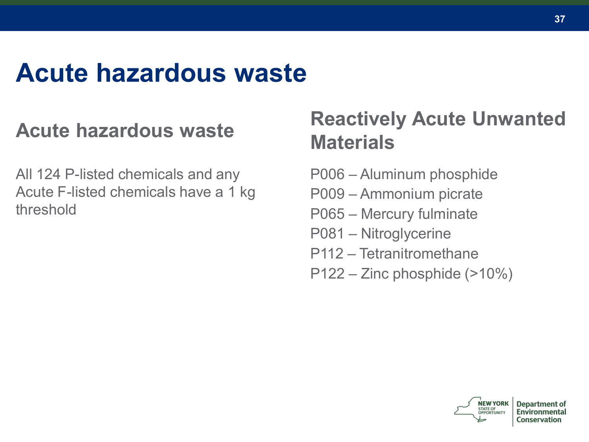### **Acute hazardous waste**

#### **Acute hazardous waste**

All 124 P-listed chemicals and any Acute F-listed chemicals have a 1 kg threshold

#### **Reactively Acute Unwanted Materials**

- P006 Aluminum phosphide
- P009 Ammonium picrate
- P065 Mercury fulminate
- P081 Nitroglycerine
- P112 Tetranitromethane
- P122 Zinc phosphide (>10%)

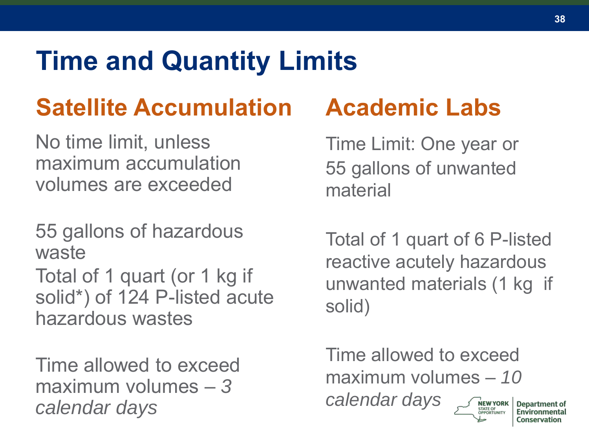# **Time and Quantity Limits**

### **Satellite Accumulation**

No time limit, unless maximum accumulation volumes are exceeded

55 gallons of hazardous waste Total of 1 quart (or 1 kg if solid\*) of 124 P-listed acute hazardous wastes

Time allowed to exceed maximum volumes – *3 calendar days*

### **Academic Labs**

Time Limit: One year or 55 gallons of unwanted material

Total of 1 quart of 6 P-listed reactive acutely hazardous unwanted materials (1 kg if solid)

Time allowed to exceed maximum volumes – *10 calendar days***NEW YORK**<br>STATE OF<br>OPPORTUNITY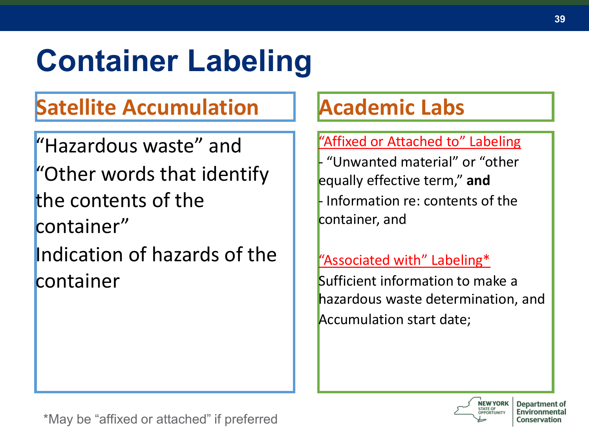# **Container Labeling**

#### **Satellite Accumulation**

"Hazardous waste" and "Other words that identify the contents of the container" Indication of hazards of the container

#### **Academic Labs**

#### "Affixed or Attached to" Labeling

- "Unwanted material" or "other equally effective term," **and** - Information re: contents of the container, and

#### "Associated with" Labeling\*

Sufficient information to make a hazardous waste determination, and Accumulation start date;

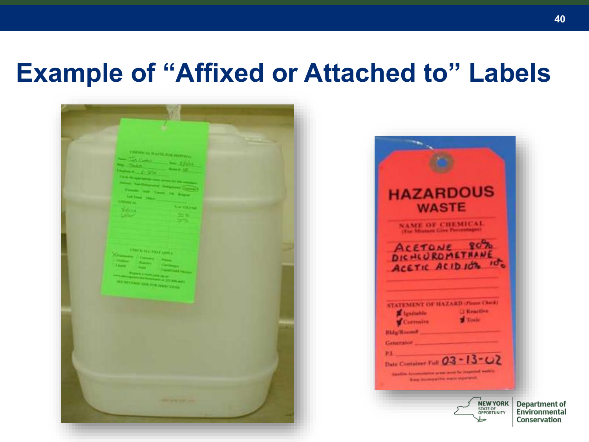### **Example of "Affixed or Attached to" Labels**



| <b>AZARDOUS</b><br><b>WASTE</b><br>NAME OF CHEMICAL<br>ACETONE<br>DICHLUROMET<br>ACETIC ACIDIOT |                                                       |
|-------------------------------------------------------------------------------------------------|-------------------------------------------------------|
| STATEMENT OF HAZARD (PG<br><b>Heartles</b><br>Tirele                                            |                                                       |
| PT.<br>Date Container Full 03-13-02                                                             |                                                       |
| <b>NEW YORK</b><br><b>STATE OF</b><br><b>OPPORTUNITY</b>                                        | <b>Department of</b><br>Environmental<br>Conservation |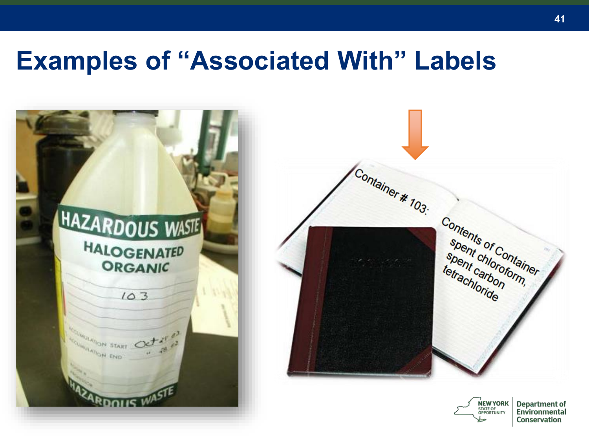### **Examples of "Associated With" Labels**

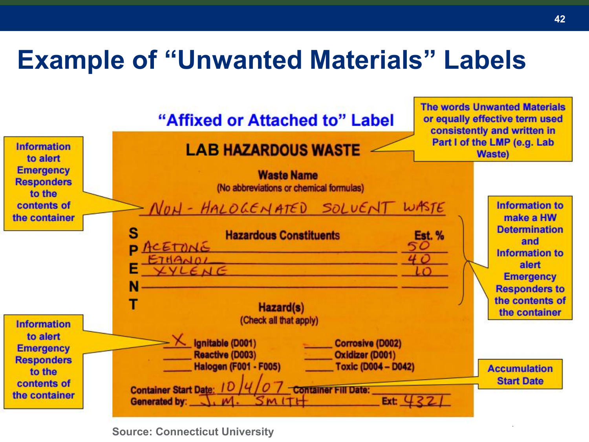### **Example of "Unwanted Materials" Labels**



**Source: Connecticut University**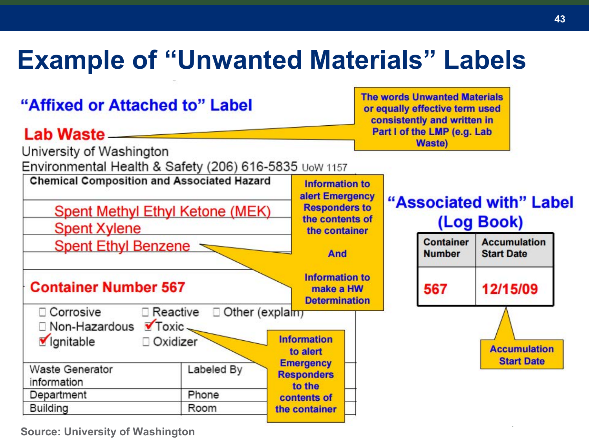### **Example of "Unwanted Materials" Labels**



**Source: University of Washington**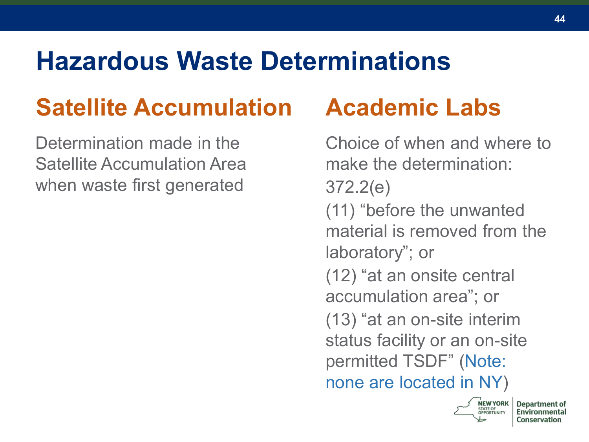### **Hazardous Waste Determinations**

### **Satellite Accumulation**

Determination made in the Satellite Accumulation Area when waste first generated

### **Academic Labs**

Choice of when and where to make the determination: 372.2(e) (11) "before the unwanted material is removed from the laboratory"; or (12) "at an onsite central accumulation area"; or (13) "at an on-site interim status facility or an on-site permitted TSDF" (Note: none are located in NY)



Denartm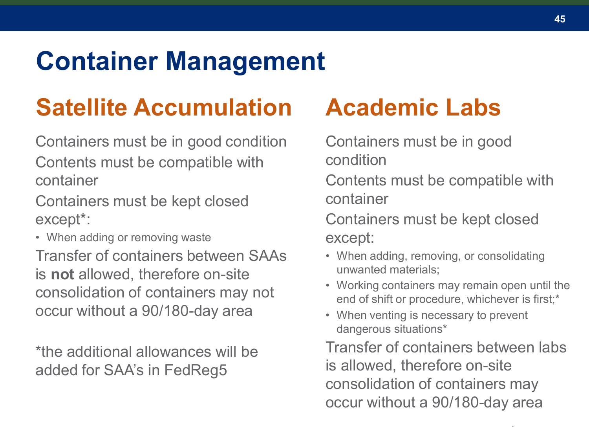### **Container Management**

### **Satellite Accumulation**

Containers must be in good condition Contents must be compatible with container

Containers must be kept closed except\*:

• When adding or removing waste

Transfer of containers between SAAs is **not** allowed, therefore on-site consolidation of containers may not occur without a 90/180-day area

\*the additional allowances will be added for SAA's in FedReg5

### **Academic Labs**

Containers must be in good condition

Contents must be compatible with container

Containers must be kept closed except:

- When adding, removing, or consolidating unwanted materials;
- Working containers may remain open until the end of shift or procedure, whichever is first;\*
- When venting is necessary to prevent dangerous situations\*

Transfer of containers between labs is allowed, therefore on-site consolidation of containers may occur without a 90/180-day area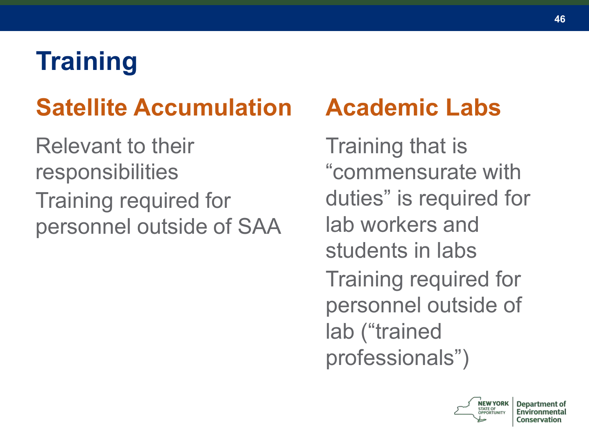# **Training**

### **Satellite Accumulation**

Relevant to their responsibilities Training required for personnel outside of SAA

### **Academic Labs**

Training that is "commensurate with duties" is required for lab workers and students in labs Training required for personnel outside of lab ("trained professionals")



**Department of** 

Conservation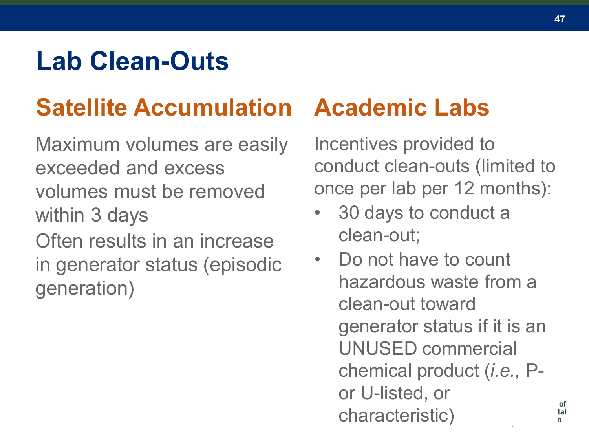### **Lab Clean-Outs**

### **Satellite Accumulation**

Maximum volumes are easily exceeded and excess volumes must be removed within 3 days Often results in an increase

in generator status (episodic generation)

### **Academic Labs**

Incentives provided to conduct clean-outs (limited to once per lab per 12 months):

- 30 days to conduct a clean-out;
- Do not have to count hazardous waste from a clean-out toward generator status if it is an UNUSED commercial chemical product (*i.e.,* Por U-listed, or characteristic)

tal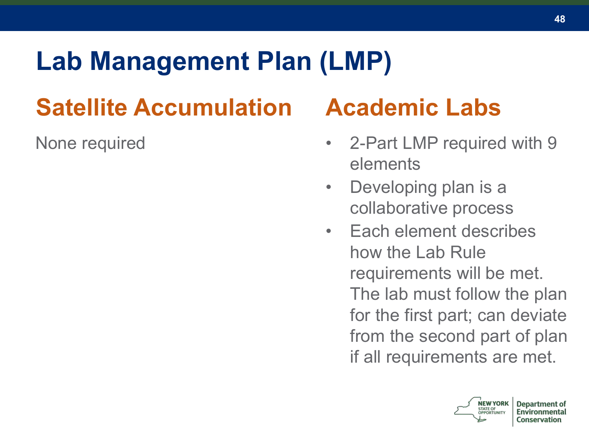# **Lab Management Plan (LMP)**

# **Satellite Accumulation**

None required

### **Academic Labs**

- 2-Part LMP required with 9 elements
- Developing plan is a collaborative process
- Each element describes how the Lab Rule requirements will be met. The lab must follow the plan for the first part; can deviate from the second part of plan if all requirements are met.



Conservation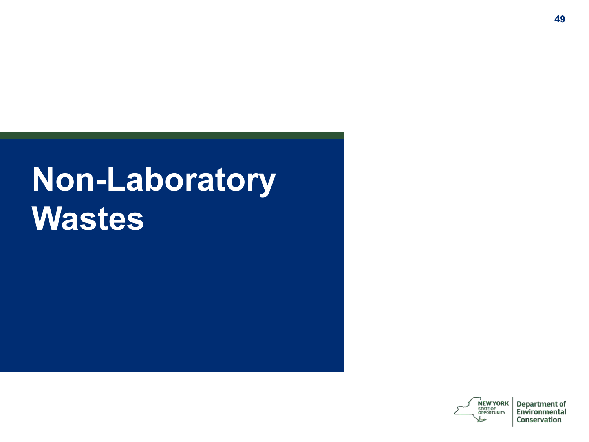# **Non-Laboratory Wastes**

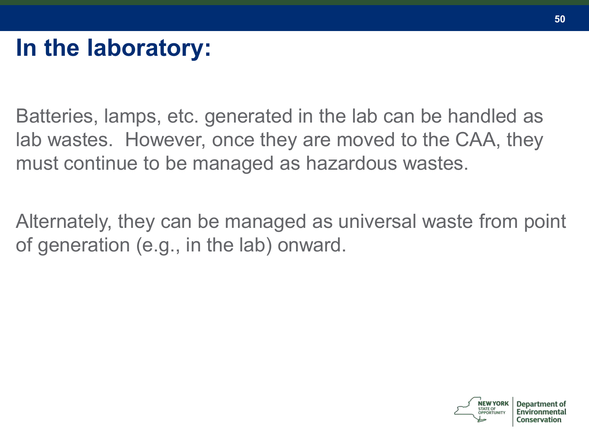Batteries, lamps, etc. generated in the lab can be handled as lab wastes. However, once they are moved to the CAA, they must continue to be managed as hazardous wastes.

Alternately, they can be managed as universal waste from point of generation (e.g., in the lab) onward.

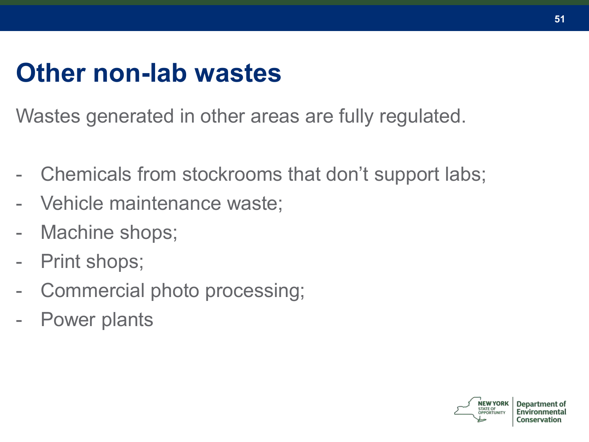### **Other non-lab wastes**

Wastes generated in other areas are fully regulated.

- Chemicals from stockrooms that don't support labs;
- Vehicle maintenance waste;
- Machine shops;
- Print shops:
- Commercial photo processing;
- Power plants

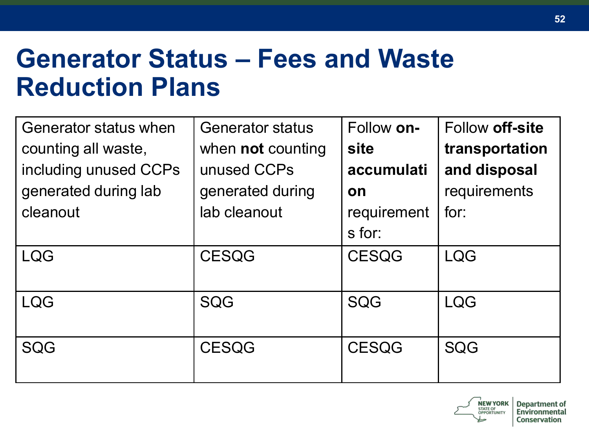### **Generator Status – Fees and Waste Reduction Plans**

| Generator status when<br>counting all waste,<br>including unused CCPs<br>generated during lab<br>cleanout | <b>Generator status</b><br>when <b>not</b> counting<br>unused CCPs<br>generated during<br>lab cleanout | Follow on-<br>site<br>accumulati<br>on<br>requirement<br>s for: | Follow off-site<br>transportation<br>and disposal<br>requirements<br>for: |
|-----------------------------------------------------------------------------------------------------------|--------------------------------------------------------------------------------------------------------|-----------------------------------------------------------------|---------------------------------------------------------------------------|
| <b>LQG</b>                                                                                                | <b>CESQG</b>                                                                                           | <b>CESQG</b>                                                    | <b>LQG</b>                                                                |
| <b>LQG</b>                                                                                                | SQG                                                                                                    | SQG                                                             | <b>LQG</b>                                                                |
| SQG                                                                                                       | <b>CESQG</b>                                                                                           | <b>CESQG</b>                                                    | SQG                                                                       |

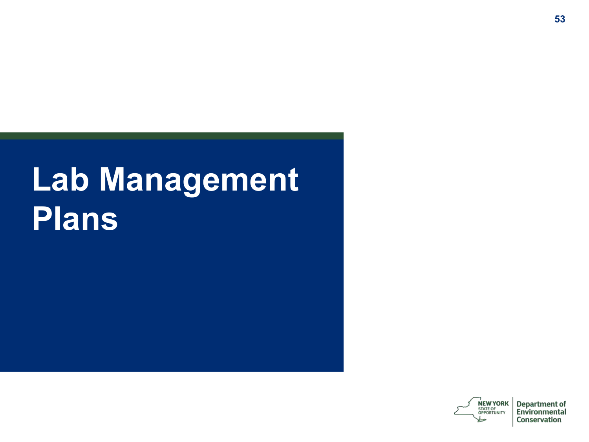# **Lab Management Plans**

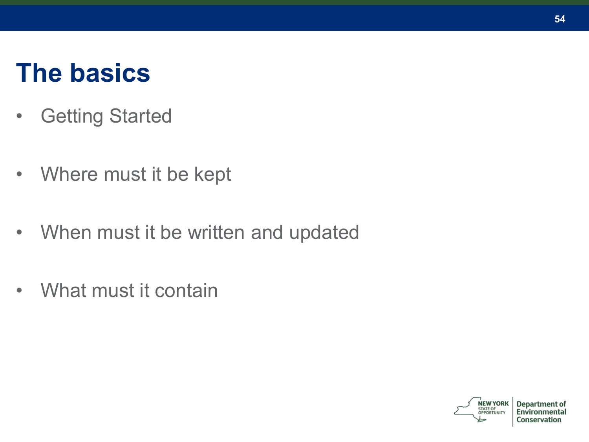### **The basics**

- Getting Started
- Where must it be kept
- When must it be written and updated
- What must it contain



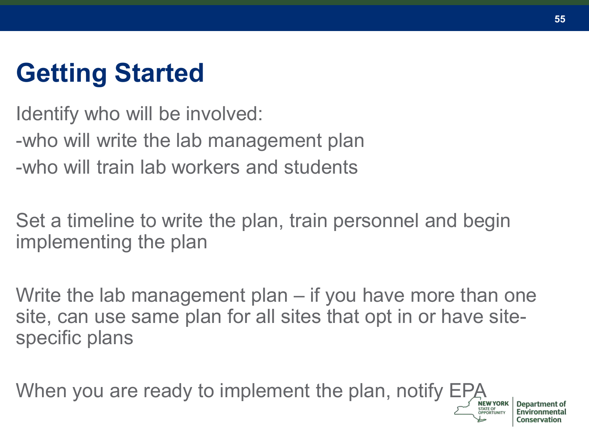# **Getting Started**

Identify who will be involved: -who will write the lab management plan -who will train lab workers and students

Set a timeline to write the plan, train personnel and begin implementing the plan

Write the lab management plan – if you have more than one site, can use same plan for all sites that opt in or have sitespecific plans

When you are ready to implement the plan, notify EPA

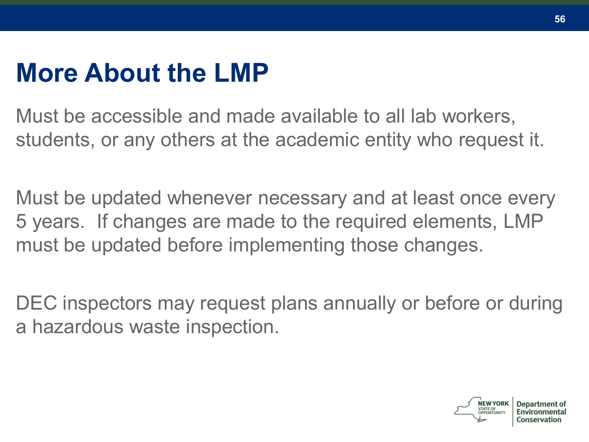### **More About the LMP**

Must be accessible and made available to all lab workers, students, or any others at the academic entity who request it.

Must be updated whenever necessary and at least once every 5 years. If changes are made to the required elements, LMP must be updated before implementing those changes.

DEC inspectors may request plans annually or before or during a hazardous waste inspection.

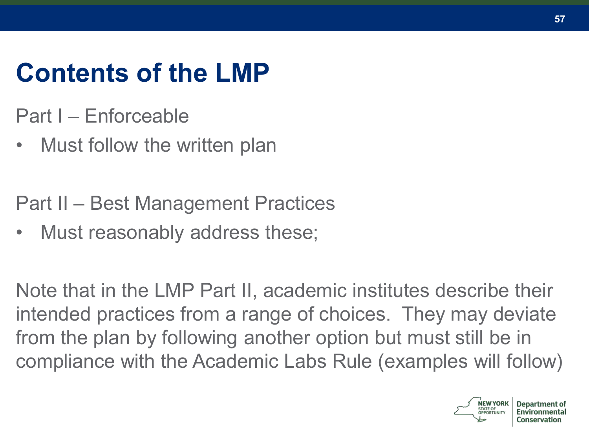# **Contents of the LMP**

- Part I Enforceable
- Must follow the written plan

Part II – Best Management Practices

• Must reasonably address these;

Note that in the LMP Part II, academic institutes describe their intended practices from a range of choices. They may deviate from the plan by following another option but must still be in compliance with the Academic Labs Rule (examples will follow)

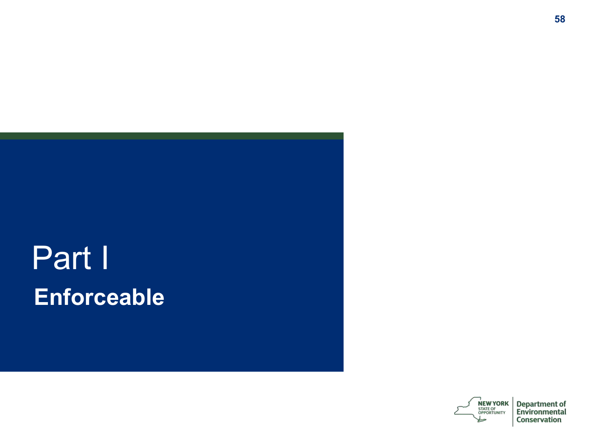# Part I **Enforceable**



**Department of** Environmental Conservation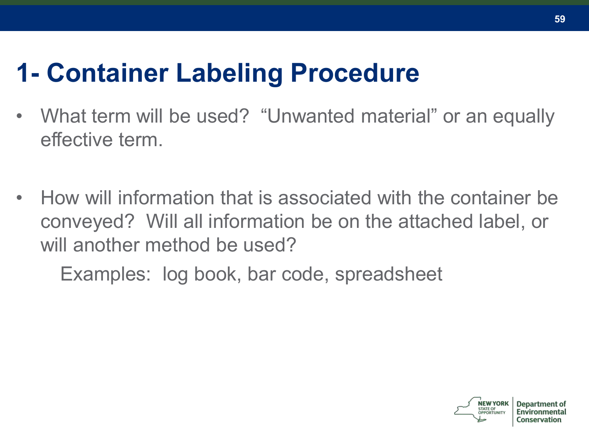## **1- Container Labeling Procedure**

- What term will be used? "Unwanted material" or an equally effective term.
- How will information that is associated with the container be conveyed? Will all information be on the attached label, or will another method be used?

Examples: log book, bar code, spreadsheet

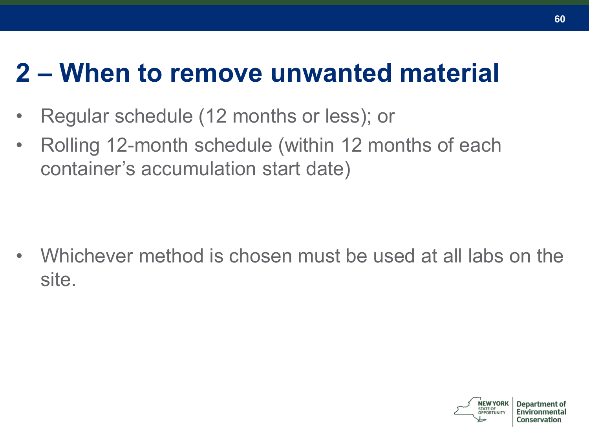### **2 – When to remove unwanted material**

- Regular schedule (12 months or less); or
- Rolling 12-month schedule (within 12 months of each container's accumulation start date)

• Whichever method is chosen must be used at all labs on the site.

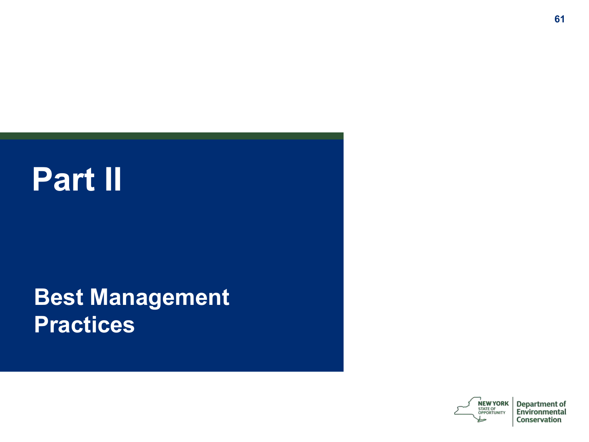# **Part II**

#### **Best Management Practices**



Department of Environmental Conservation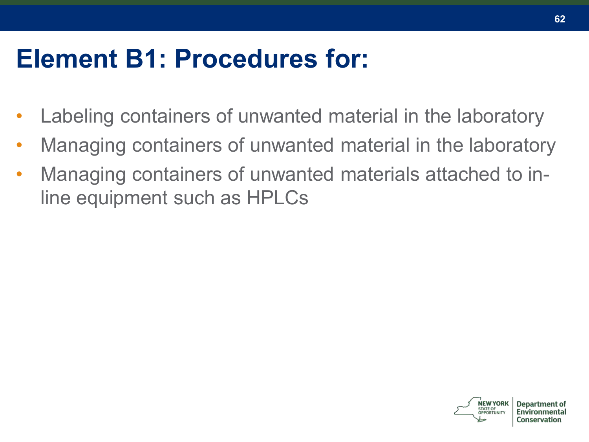### **Element B1: Procedures for:**

- Labeling containers of unwanted material in the laboratory
- Managing containers of unwanted material in the laboratory
- Managing containers of unwanted materials attached to inline equipment such as HPLCs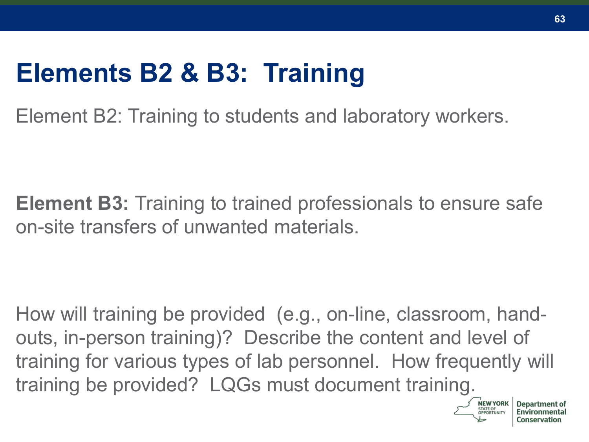### **Elements B2 & B3: Training**

Element B2: Training to students and laboratory workers.

**Element B3:** Training to trained professionals to ensure safe on-site transfers of unwanted materials.

How will training be provided (e.g., on-line, classroom, handouts, in-person training)? Describe the content and level of training for various types of lab personnel. How frequently will training be provided? LQGs must document training.

**STATE OF**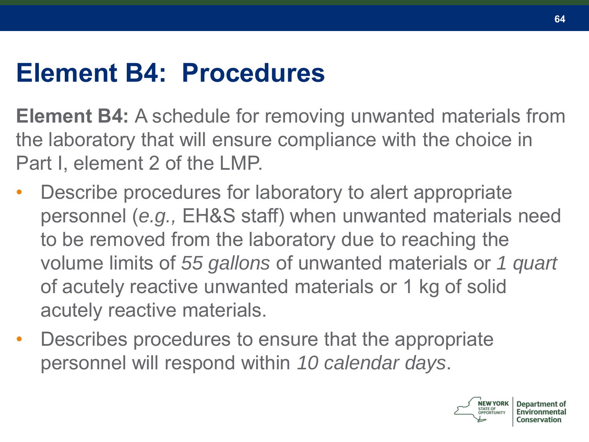### **Element B4: Procedures**

**Element B4:** A schedule for removing unwanted materials from the laboratory that will ensure compliance with the choice in Part I, element 2 of the LMP.

- Describe procedures for laboratory to alert appropriate personnel (*e.g.,* EH&S staff) when unwanted materials need to be removed from the laboratory due to reaching the volume limits of *55 gallons* of unwanted materials or *1 quart*  of acutely reactive unwanted materials or 1 kg of solid acutely reactive materials.
- Describes procedures to ensure that the appropriate personnel will respond within *10 calendar days*.

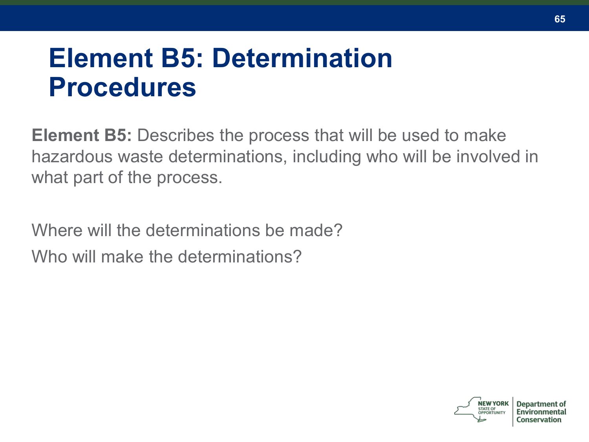### **Element B5: Determination Procedures**

**Element B5:** Describes the process that will be used to make hazardous waste determinations, including who will be involved in what part of the process.

Where will the determinations be made? Who will make the determinations?

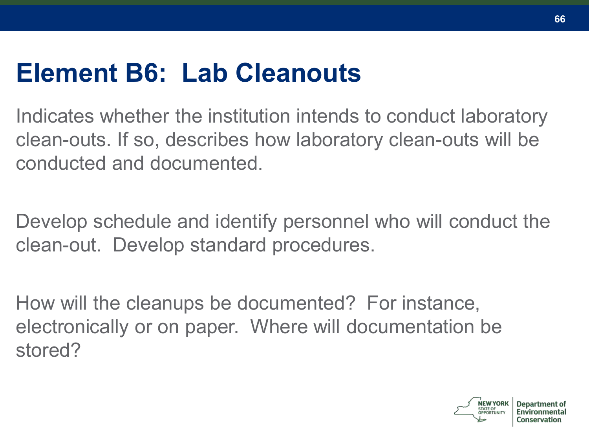### **Element B6: Lab Cleanouts**

Indicates whether the institution intends to conduct laboratory clean-outs. If so, describes how laboratory clean-outs will be conducted and documented.

Develop schedule and identify personnel who will conduct the clean-out. Develop standard procedures.

How will the cleanups be documented? For instance, electronically or on paper. Where will documentation be stored?

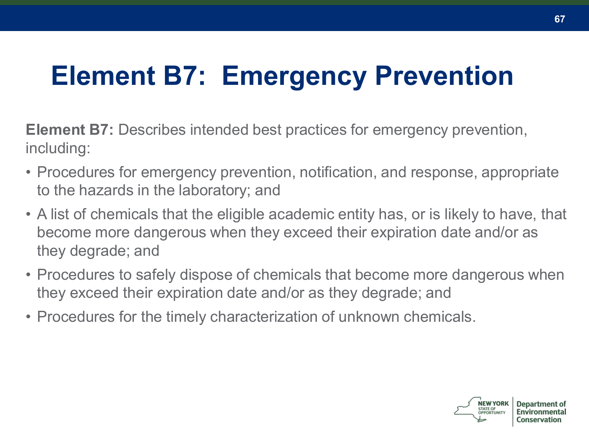# **Element B7: Emergency Prevention**

**Element B7:** Describes intended best practices for emergency prevention, including:

- Procedures for emergency prevention, notification, and response, appropriate to the hazards in the laboratory; and
- A list of chemicals that the eligible academic entity has, or is likely to have, that become more dangerous when they exceed their expiration date and/or as they degrade; and
- Procedures to safely dispose of chemicals that become more dangerous when they exceed their expiration date and/or as they degrade; and
- Procedures for the timely characterization of unknown chemicals.

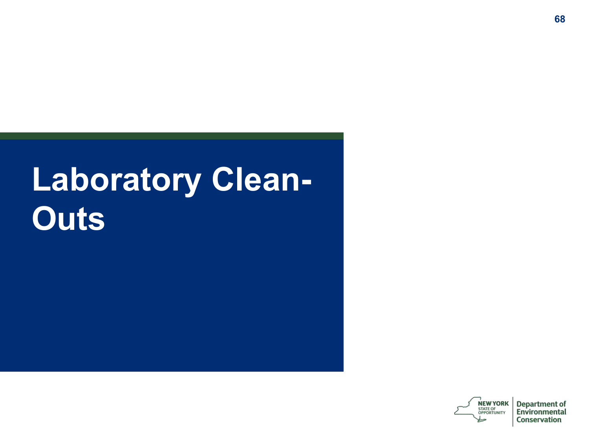# **Laboratory Clean-Outs**

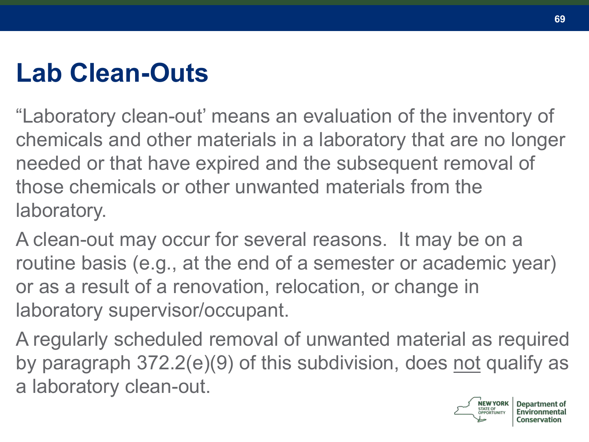## **Lab Clean-Outs**

"Laboratory clean-out' means an evaluation of the inventory of chemicals and other materials in a laboratory that are no longer needed or that have expired and the subsequent removal of those chemicals or other unwanted materials from the laboratory.

A clean-out may occur for several reasons. It may be on a routine basis (e.g., at the end of a semester or academic year) or as a result of a renovation, relocation, or change in laboratory supervisor/occupant.

A regularly scheduled removal of unwanted material as required by paragraph 372.2(e)(9) of this subdivision, does not qualify as a laboratory clean-out.



Denartment of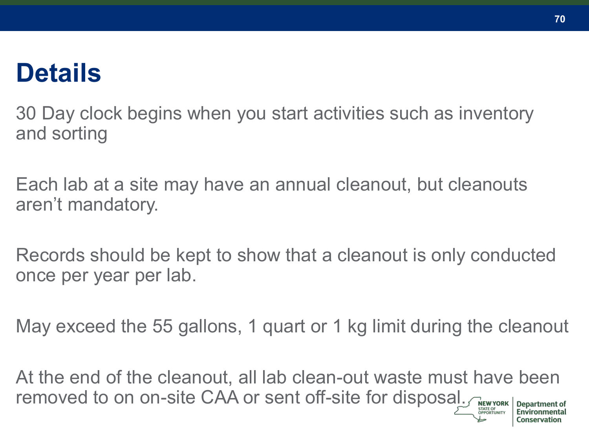### **Details**

30 Day clock begins when you start activities such as inventory and sorting

Each lab at a site may have an annual cleanout, but cleanouts aren't mandatory.

Records should be kept to show that a cleanout is only conducted once per year per lab.

May exceed the 55 gallons, 1 quart or 1 kg limit during the cleanout

At the end of the cleanout, all lab clean-out waste must have been removed to on on-site CAA or sent off-site for disposal.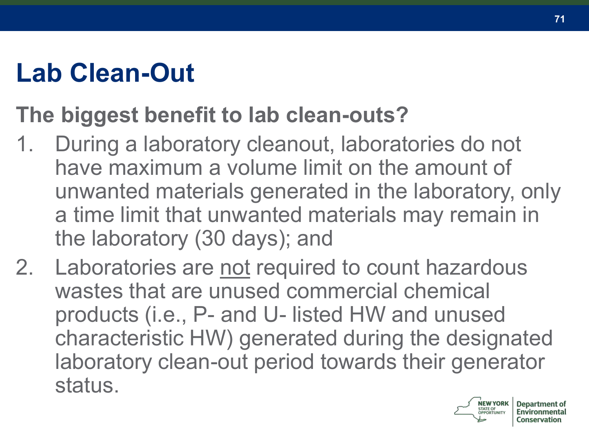# **Lab Clean-Out**

### **The biggest benefit to lab clean-outs?**

- 1. During a laboratory cleanout, laboratories do not have maximum a volume limit on the amount of unwanted materials generated in the laboratory, only a time limit that unwanted materials may remain in the laboratory (30 days); and
- 2. Laboratories are not required to count hazardous wastes that are unused commercial chemical products (i.e., P- and U- listed HW and unused characteristic HW) generated during the designated laboratory clean-out period towards their generator status.

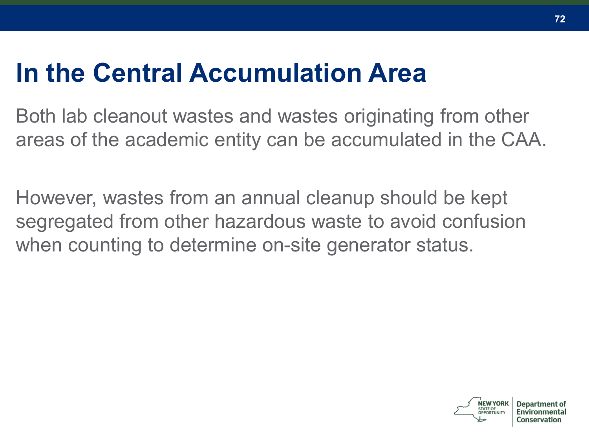### **In the Central Accumulation Area**

Both lab cleanout wastes and wastes originating from other areas of the academic entity can be accumulated in the CAA.

However, wastes from an annual cleanup should be kept segregated from other hazardous waste to avoid confusion when counting to determine on-site generator status.

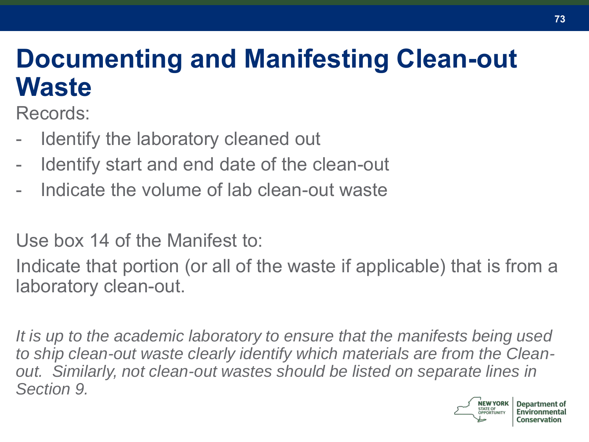## **Documenting and Manifesting Clean-out Waste**

Records:

- Identify the laboratory cleaned out
- Identify start and end date of the clean-out
- Indicate the volume of lab clean-out waste

Use box 14 of the Manifest to:

Indicate that portion (or all of the waste if applicable) that is from a laboratory clean-out.

*It is up to the academic laboratory to ensure that the manifests being used to ship clean-out waste clearly identify which materials are from the Cleanout. Similarly, not clean-out wastes should be listed on separate lines in Section 9.* 

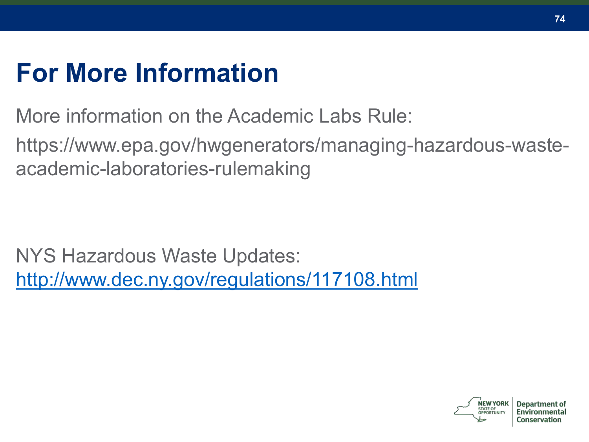## **For More Information**

More information on the Academic Labs Rule:

https://www.epa.gov/hwgenerators/managing-hazardous-wasteacademic-laboratories-rulemaking

NYS Hazardous Waste Updates: <http://www.dec.ny.gov/regulations/117108.html>